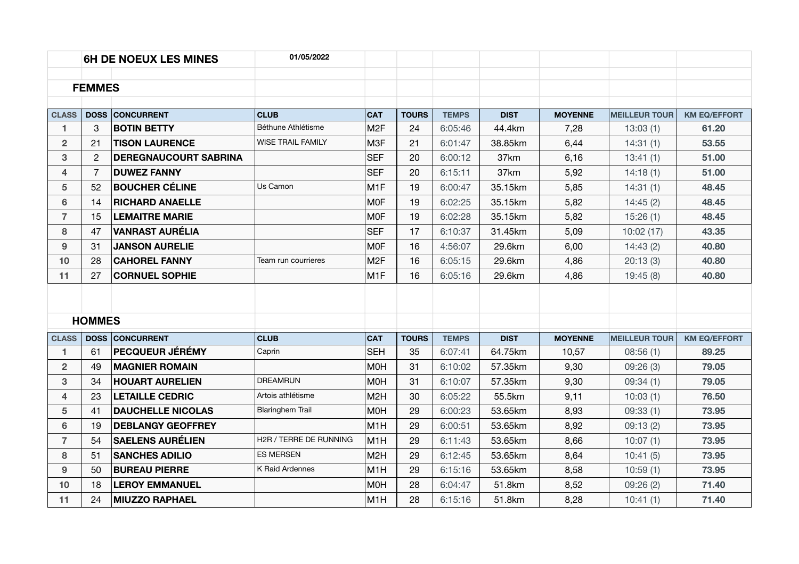|                |                | <b>6H DE NOEUX LES MINES</b> | 01/05/2022               |                  |              |              |             |                |                      |                     |
|----------------|----------------|------------------------------|--------------------------|------------------|--------------|--------------|-------------|----------------|----------------------|---------------------|
| <b>FEMMES</b>  |                |                              |                          |                  |              |              |             |                |                      |                     |
|                |                |                              |                          |                  |              |              |             |                |                      |                     |
| <b>CLASS</b>   | <b>DOSS</b>    | <b>CONCURRENT</b>            | <b>CLUB</b>              | <b>CAT</b>       | <b>TOURS</b> | <b>TEMPS</b> | <b>DIST</b> | <b>MOYENNE</b> | <b>MEILLEUR TOUR</b> | <b>KM EQ/EFFORT</b> |
| 1              | 3              | <b>BOTIN BETTY</b>           | Béthune Athlétisme       | M <sub>2F</sub>  | 24           | 6:05:46      | 44.4km      | 7,28           | 13:03(1)             | 61.20               |
| $\overline{2}$ | 21             | <b>TISON LAURENCE</b>        | <b>WISE TRAIL FAMILY</b> | M <sub>3F</sub>  | 21           | 6:01:47      | 38.85km     | 6,44           | 14:31(1)             | 53.55               |
| 3              | 2              | <b>DEREGNAUCOURT SABRINA</b> |                          | <b>SEF</b>       | 20           | 6:00:12      | 37km        | 6,16           | 13:41(1)             | 51.00               |
| 4              | $\overline{7}$ | <b>DUWEZ FANNY</b>           |                          | <b>SEF</b>       | 20           | 6:15:11      | 37km        | 5,92           | 14:18(1)             | 51.00               |
| 5              | 52             | <b>BOUCHER CÉLINE</b>        | Us Camon                 | M <sub>1F</sub>  | 19           | 6:00:47      | 35.15km     | 5,85           | 14:31(1)             | 48.45               |
| 6              | 14             | <b>RICHARD ANAELLE</b>       |                          | <b>MOF</b>       | 19           | 6:02:25      | 35.15km     | 5,82           | 14:45(2)             | 48.45               |
| $\overline{7}$ | 15             | <b>LEMAITRE MARIE</b>        |                          | <b>MOF</b>       | 19           | 6:02:28      | 35.15km     | 5,82           | 15:26(1)             | 48.45               |
| 8              | 47             | <b>VANRAST AURÉLIA</b>       |                          | <b>SEF</b>       | 17           | 6:10:37      | 31.45km     | 5,09           | 10:02(17)            | 43.35               |
| 9              | 31             | <b>JANSON AURELIE</b>        |                          | <b>MOF</b>       | 16           | 4:56:07      | 29.6km      | 6,00           | 14:43(2)             | 40.80               |
| 10             | 28             | <b>CAHOREL FANNY</b>         | Team run courrieres      | M <sub>2F</sub>  | 16           | 6:05:15      | 29.6km      | 4,86           | 20:13(3)             | 40.80               |
| 11             | 27             | <b>CORNUEL SOPHIE</b>        |                          | M <sub>1F</sub>  | 16           | 6:05:16      | 29.6km      | 4,86           | 19:45(8)             | 40.80               |
|                |                |                              |                          |                  |              |              |             |                |                      |                     |
|                |                |                              |                          |                  |              |              |             |                |                      |                     |
|                | <b>HOMMES</b>  |                              |                          |                  |              |              |             |                |                      |                     |
| <b>CLASS</b>   |                | <b>DOSS CONCURRENT</b>       | <b>CLUB</b>              | <b>CAT</b>       | <b>TOURS</b> | <b>TEMPS</b> | <b>DIST</b> | <b>MOYENNE</b> | <b>MEILLEUR TOUR</b> | <b>KM EQ/EFFORT</b> |
| 1              | 61             | <b>PECQUEUR JÉRÉMY</b>       | Caprin                   | <b>SEH</b>       | 35           | 6:07:41      | 64.75km     | 10,57          | 08:56(1)             | 89.25               |
| $\overline{2}$ | 49             | <b>MAGNIER ROMAIN</b>        |                          | <b>MOH</b>       | 31           | 6:10:02      | 57.35km     | 9,30           | 09:26(3)             | 79.05               |
| 3              | 34             | <b>HOUART AURELIEN</b>       | <b>DREAMRUN</b>          | M <sub>OH</sub>  | 31           | 6:10:07      | 57.35km     | 9,30           | 09:34(1)             | 79.05               |
| 4              | 23             | <b>LETAILLE CEDRIC</b>       | Artois athlétisme        | M <sub>2</sub> H | 30           | 6:05:22      | 55.5km      | 9,11           | 10:03(1)             | 76.50               |
| 5              | 41             | <b>DAUCHELLE NICOLAS</b>     | <b>Blaringhem Trail</b>  | M <sub>OH</sub>  | 29           | 6:00:23      | 53.65km     | 8,93           | 09:33(1)             | 73.95               |
| 6              | 19             | <b>DEBLANGY GEOFFREY</b>     |                          | M <sub>1</sub> H | 29           | 6:00:51      | 53.65km     | 8,92           | 09:13(2)             | 73.95               |
| $\overline{7}$ | 54             | <b>SAELENS AURÉLIEN</b>      | H2R / TERRE DE RUNNING   | M <sub>1</sub> H | 29           | 6:11:43      | 53.65km     | 8,66           | 10:07(1)             | 73.95               |
| 8              | 51             | <b>SANCHES ADILIO</b>        | <b>ES MERSEN</b>         | M <sub>2</sub> H | 29           | 6:12:45      | 53.65km     | 8,64           | 10:41(5)             | 73.95               |
| 9              | 50             | <b>BUREAU PIERRE</b>         | K Raid Ardennes          | M <sub>1</sub> H | 29           | 6:15:16      | 53.65km     | 8,58           | 10:59(1)             | 73.95               |
| 10             | 18             | <b>LEROY EMMANUEL</b>        |                          | <b>MOH</b>       | 28           | 6:04:47      | 51.8km      | 8,52           | 09:26(2)             | 71.40               |
| 11             | 24             | <b>MIUZZO RAPHAEL</b>        |                          | M <sub>1</sub> H | 28           | 6:15:16      | 51.8km      | 8,28           | 10:41(1)             | 71.40               |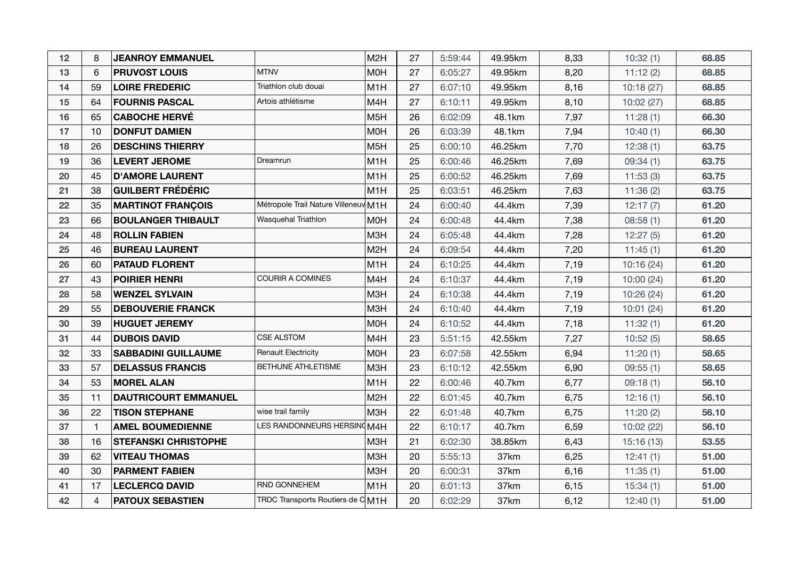| 12 | 8            | <b>JEANROY EMMANUEL</b>     |                                      | M <sub>2H</sub>  | 27 | 5:59:44 | 49.95km | 8,33 | 10:32(1)   | 68.85 |
|----|--------------|-----------------------------|--------------------------------------|------------------|----|---------|---------|------|------------|-------|
| 13 | 6            | <b>PRUVOST LOUIS</b>        | <b>MTNV</b>                          | <b>MOH</b>       | 27 | 6:05:27 | 49.95km | 8,20 | 11:12(2)   | 68.85 |
| 14 | 59           | <b>LOIRE FREDERIC</b>       | Triathlon club douai                 | M <sub>1</sub> H | 27 | 6:07:10 | 49.95km | 8,16 | 10:18(27)  | 68.85 |
| 15 | 64           | <b>FOURNIS PASCAL</b>       | Artois athlétisme                    | M4H              | 27 | 6:10:11 | 49.95km | 8,10 | 10:02(27)  | 68.85 |
| 16 | 65           | <b>CABOCHE HERVÉ</b>        |                                      | M <sub>5H</sub>  | 26 | 6:02:09 | 48.1km  | 7,97 | 11:28(1)   | 66.30 |
| 17 | 10           | <b>DONFUT DAMIEN</b>        |                                      | <b>MOH</b>       | 26 | 6:03:39 | 48.1km  | 7,94 | 10:40(1)   | 66.30 |
| 18 | 26           | <b>DESCHINS THIERRY</b>     |                                      | M <sub>5H</sub>  | 25 | 6:00:10 | 46.25km | 7,70 | 12:38(1)   | 63.75 |
| 19 | 36           | <b>LEVERT JEROME</b>        | Dreamrun                             | M <sub>1</sub> H | 25 | 6:00:46 | 46.25km | 7,69 | 09:34(1)   | 63.75 |
| 20 | 45           | <b>D'AMORE LAURENT</b>      |                                      | M <sub>1</sub> H | 25 | 6:00:52 | 46.25km | 7,69 | 11:53(3)   | 63.75 |
| 21 | 38           | <b>GUILBERT FRÉDÉRIC</b>    |                                      | M <sub>1</sub> H | 25 | 6:03:51 | 46.25km | 7,63 | 11:36(2)   | 63.75 |
| 22 | 35           | <b>MARTINOT FRANÇOIS</b>    | Métropole Trail Nature Villeneuv M1H |                  | 24 | 6:00:40 | 44.4km  | 7,39 | 12:17(7)   | 61.20 |
| 23 | 66           | <b>BOULANGER THIBAULT</b>   | Wasquehal Triathlon                  | <b>MOH</b>       | 24 | 6:00:48 | 44.4km  | 7,38 | 08:58(1)   | 61.20 |
| 24 | 48           | <b>ROLLIN FABIEN</b>        |                                      | M3H              | 24 | 6:05:48 | 44.4km  | 7,28 | 12:27(5)   | 61.20 |
| 25 | 46           | <b>BUREAU LAURENT</b>       |                                      | M <sub>2</sub> H | 24 | 6:09:54 | 44.4km  | 7,20 | 11:45(1)   | 61.20 |
| 26 | 60           | <b>PATAUD FLORENT</b>       |                                      | M <sub>1</sub> H | 24 | 6:10:25 | 44.4km  | 7,19 | 10:16(24)  | 61.20 |
| 27 | 43           | <b>POIRIER HENRI</b>        | COURIR A COMINES                     | M4H              | 24 | 6:10:37 | 44.4km  | 7,19 | 10:00(24)  | 61.20 |
| 28 | 58           | <b>WENZEL SYLVAIN</b>       |                                      | M3H              | 24 | 6:10:38 | 44.4km  | 7,19 | 10:26 (24) | 61.20 |
| 29 | 55           | <b>DEBOUVERIE FRANCK</b>    |                                      | M3H              | 24 | 6:10:40 | 44.4km  | 7,19 | 10:01(24)  | 61.20 |
| 30 | 39           | <b>HUGUET JEREMY</b>        |                                      | <b>MOH</b>       | 24 | 6:10:52 | 44.4km  | 7,18 | 11:32(1)   | 61.20 |
| 31 | 44           | <b>DUBOIS DAVID</b>         | <b>CSE ALSTOM</b>                    | M4H              | 23 | 5:51:15 | 42.55km | 7,27 | 10:52(5)   | 58.65 |
| 32 | 33           | <b>SABBADINI GUILLAUME</b>  | <b>Renault Electricity</b>           | <b>MOH</b>       | 23 | 6:07:58 | 42.55km | 6,94 | 11:20(1)   | 58.65 |
| 33 | 57           | <b>DELASSUS FRANCIS</b>     | BETHUNE ATHLETISME                   | M3H              | 23 | 6:10:12 | 42.55km | 6,90 | 09:55(1)   | 58.65 |
| 34 | 53           | <b>MOREL ALAN</b>           |                                      | M <sub>1</sub> H | 22 | 6:00:46 | 40.7km  | 6,77 | 09:18(1)   | 56.10 |
| 35 | 11           | <b>DAUTRICOURT EMMANUEL</b> |                                      | M <sub>2</sub> H | 22 | 6:01:45 | 40.7km  | 6,75 | 12:16(1)   | 56.10 |
| 36 | 22           | <b>TISON STEPHANE</b>       | wise trail family                    | M3H              | 22 | 6:01:48 | 40.7km  | 6,75 | 11:20(2)   | 56.10 |
| 37 | $\mathbf{1}$ | <b>AMEL BOUMEDIENNE</b>     | LES RANDONNEURS HERSINO M4H          |                  | 22 | 6:10:17 | 40.7km  | 6,59 | 10:02(22)  | 56.10 |
| 38 | 16           | <b>STEFANSKI CHRISTOPHE</b> |                                      | M3H              | 21 | 6:02:30 | 38.85km | 6,43 | 15:16(13)  | 53.55 |
| 39 | 62           | <b>VITEAU THOMAS</b>        |                                      | M3H              | 20 | 5:55:13 | 37km    | 6,25 | 12:41(1)   | 51.00 |
| 40 | 30           | <b>PARMENT FABIEN</b>       |                                      | M3H              | 20 | 6:00:31 | 37km    | 6,16 | 11:35(1)   | 51.00 |
| 41 | 17           | <b>LECLERCQ DAVID</b>       | RND GONNEHEM                         | M <sub>1</sub> H | 20 | 6:01:13 | 37km    | 6,15 | 15:34(1)   | 51.00 |
| 42 | 4            | <b>PATOUX SEBASTIEN</b>     | TRDC Transports Routiers de CM1H     |                  | 20 | 6:02:29 | 37km    | 6,12 | 12:40(1)   | 51.00 |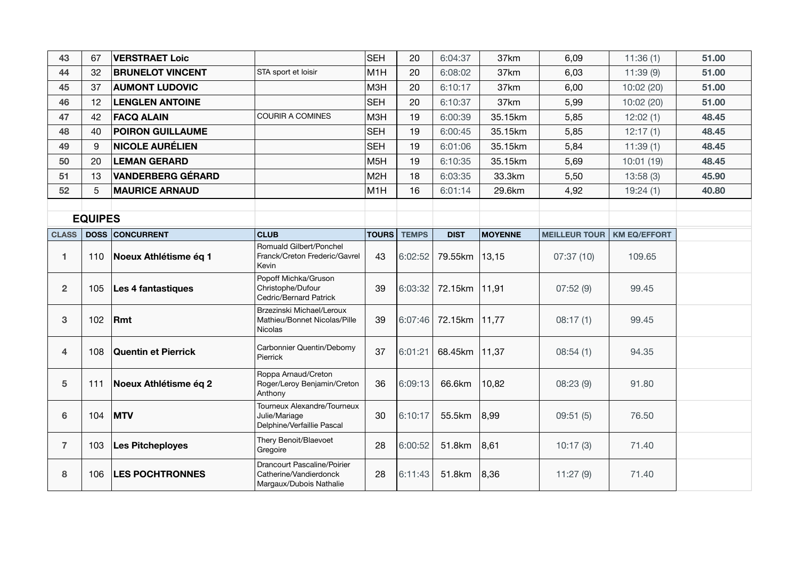| 43             | 67             | <b>VERSTRAET Loic</b>      |                                                                                  | <b>SEH</b>       | 20           | 6:04:37       | 37km           | 6,09                 | 11:36(1)            | 51.00 |
|----------------|----------------|----------------------------|----------------------------------------------------------------------------------|------------------|--------------|---------------|----------------|----------------------|---------------------|-------|
| 44             | 32             | <b>BRUNELOT VINCENT</b>    | STA sport et loisir                                                              | M <sub>1</sub> H | 20           | 6:08:02       | 37km           | 6,03                 | 11:39(9)            | 51.00 |
| 45             | 37             | <b>AUMONT LUDOVIC</b>      |                                                                                  | M3H              | 20           | 6:10:17       | 37km           | 6,00                 | 10:02(20)           | 51.00 |
| 46             | 12             | <b>LENGLEN ANTOINE</b>     |                                                                                  | <b>SEH</b>       | 20           | 6:10:37       | 37km           | 5,99                 | 10:02(20)           | 51.00 |
| 47             | 42             | <b>FACQ ALAIN</b>          | <b>COURIR A COMINES</b>                                                          | M3H              | 19           | 6:00:39       | 35.15km        | 5,85                 | 12:02(1)            | 48.45 |
| 48             | 40             | <b>POIRON GUILLAUME</b>    |                                                                                  | <b>SEH</b>       | 19           | 6:00:45       | 35.15km        | 5,85                 | 12:17(1)            | 48.45 |
| 49             | 9              | <b>NICOLE AURÉLIEN</b>     |                                                                                  | <b>SEH</b>       | 19           | 6:01:06       | 35.15km        | 5,84                 | 11:39(1)            | 48.45 |
| 50             | 20             | <b>LEMAN GERARD</b>        |                                                                                  | M <sub>5</sub> H | 19           | 6:10:35       | 35.15km        | 5,69                 | 10:01(19)           | 48.45 |
| 51             | 13             | <b>VANDERBERG GÉRARD</b>   |                                                                                  | M <sub>2H</sub>  | 18           | 6:03:35       | 33.3km         | 5,50                 | 13:58(3)            | 45.90 |
| 52             | 5              | <b>MAURICE ARNAUD</b>      |                                                                                  | M <sub>1</sub> H | 16           | 6:01:14       | 29.6km         | 4,92                 | 19:24(1)            | 40.80 |
|                |                |                            |                                                                                  |                  |              |               |                |                      |                     |       |
|                | <b>EQUIPES</b> |                            |                                                                                  |                  |              |               |                |                      |                     |       |
| <b>CLASS</b>   |                | <b>DOSS CONCURRENT</b>     | <b>CLUB</b>                                                                      | <b>TOURS</b>     | <b>TEMPS</b> | <b>DIST</b>   | <b>MOYENNE</b> | <b>MEILLEUR TOUR</b> | <b>KM EQ/EFFORT</b> |       |
| 1              | 110            | Noeux Athlétisme éq 1      | Romuald Gilbert/Ponchel<br>Franck/Creton Frederic/Gavrel<br>Kevin                | 43               | 6:02:52      | 79.55km       | 13,15          | 07:37(10)            | 109.65              |       |
| $\overline{2}$ | 105            | Les 4 fantastiques         | Popoff Michka/Gruson<br>Christophe/Dufour<br>Cedric/Bernard Patrick              | 39               | 6:03:32      | 72.15km       | 11,91          | 07:52(9)             | 99.45               |       |
| 3              | 102            | <b>Rmt</b>                 | Brzezinski Michael/Leroux<br>Mathieu/Bonnet Nicolas/Pille<br><b>Nicolas</b>      | 39               | 6:07:46      | 72.15km 11,77 |                | 08:17(1)             | 99.45               |       |
| 4              | 108            | <b>Quentin et Pierrick</b> | Carbonnier Quentin/Debomy<br>Pierrick                                            | 37               | 6:01:21      | 68.45km 11,37 |                | 08:54(1)             | 94.35               |       |
| 5              | 111            | Noeux Athlétisme éq 2      | Roppa Arnaud/Creton<br>Roger/Leroy Benjamin/Creton<br>Anthony                    | 36               | 6:09:13      | 66.6km        | 10,82          | 08:23(9)             | 91.80               |       |
| 6              | 104            | <b>MTV</b>                 | Tourneux Alexandre/Tourneux<br>Julie/Mariage<br>Delphine/Verfaillie Pascal       | 30               | 6:10:17      | 55.5km        | 8,99           | 09:51(5)             | 76.50               |       |
| $\overline{7}$ | 103            | <b>Les Pitcheployes</b>    | Thery Benoit/Blaevoet<br>Gregoire                                                | 28               | 6:00:52      | 51.8km        | 8,61           | 10:17(3)             | 71.40               |       |
| 8              | 106            | <b>LES POCHTRONNES</b>     | Drancourt Pascaline/Poirier<br>Catherine/Vandierdonck<br>Margaux/Dubois Nathalie | 28               | 6:11:43      | 51.8km        | 8,36           | 11:27(9)             | 71.40               |       |